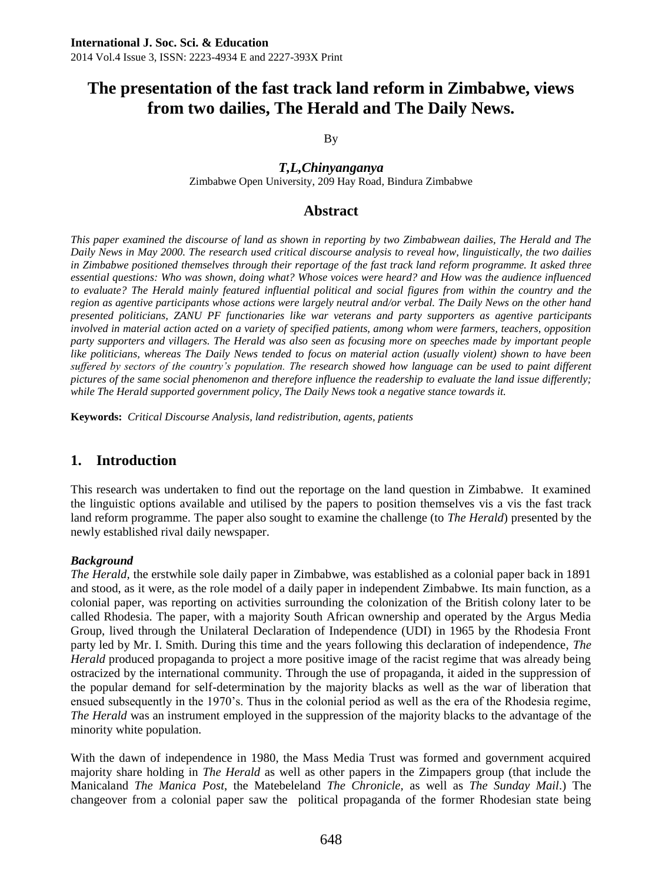By

*T,L,Chinyanganya*

Zimbabwe Open University, 209 Hay Road, Bindura Zimbabwe

## **Abstract**

*This paper examined the discourse of land as shown in reporting by two Zimbabwean dailies, The Herald and The Daily News in May 2000. The research used critical discourse analysis to reveal how, linguistically, the two dailies in Zimbabwe positioned themselves through their reportage of the fast track land reform programme. It asked three*  essential questions: Who was shown, doing what? Whose voices were heard? and How was the audience influenced *to evaluate? The Herald mainly featured influential political and social figures from within the country and the region as agentive participants whose actions were largely neutral and/or verbal. The Daily News on the other hand presented politicians, ZANU PF functionaries like war veterans and party supporters as agentive participants involved in material action acted on a variety of specified patients, among whom were farmers, teachers, opposition party supporters and villagers. The Herald was also seen as focusing more on speeches made by important people like politicians, whereas The Daily News tended to focus on material action (usually violent) shown to have been suffered by sectors of the country's population. The research showed how language can be used to paint different pictures of the same social phenomenon and therefore influence the readership to evaluate the land issue differently; while The Herald supported government policy, The Daily News took a negative stance towards it.*

**Keywords:** *Critical Discourse Analysis, land redistribution, agents, patients* 

## **1. Introduction**

This research was undertaken to find out the reportage on the land question in Zimbabwe. It examined the linguistic options available and utilised by the papers to position themselves vis a vis the fast track land reform programme. The paper also sought to examine the challenge (to *The Herald*) presented by the newly established rival daily newspaper.

#### *Background*

*The Herald,* the erstwhile sole daily paper in Zimbabwe, was established as a colonial paper back in 1891 and stood, as it were, as the role model of a daily paper in independent Zimbabwe. Its main function, as a colonial paper, was reporting on activities surrounding the colonization of the British colony later to be called Rhodesia. The paper, with a majority South African ownership and operated by the Argus Media Group, lived through the Unilateral Declaration of Independence (UDI) in 1965 by the Rhodesia Front party led by Mr. I. Smith. During this time and the years following this declaration of independence, *The Herald* produced propaganda to project a more positive image of the racist regime that was already being ostracized by the international community. Through the use of propaganda, it aided in the suppression of the popular demand for self-determination by the majority blacks as well as the war of liberation that ensued subsequently in the 1970's. Thus in the colonial period as well as the era of the Rhodesia regime, *The Herald* was an instrument employed in the suppression of the majority blacks to the advantage of the minority white population.

With the dawn of independence in 1980, the Mass Media Trust was formed and government acquired majority share holding in *The Herald* as well as other papers in the Zimpapers group (that include the Manicaland *The Manica Post*, the Matebeleland *The Chronicle,* as well as *The Sunday Mail*.) The changeover from a colonial paper saw the political propaganda of the former Rhodesian state being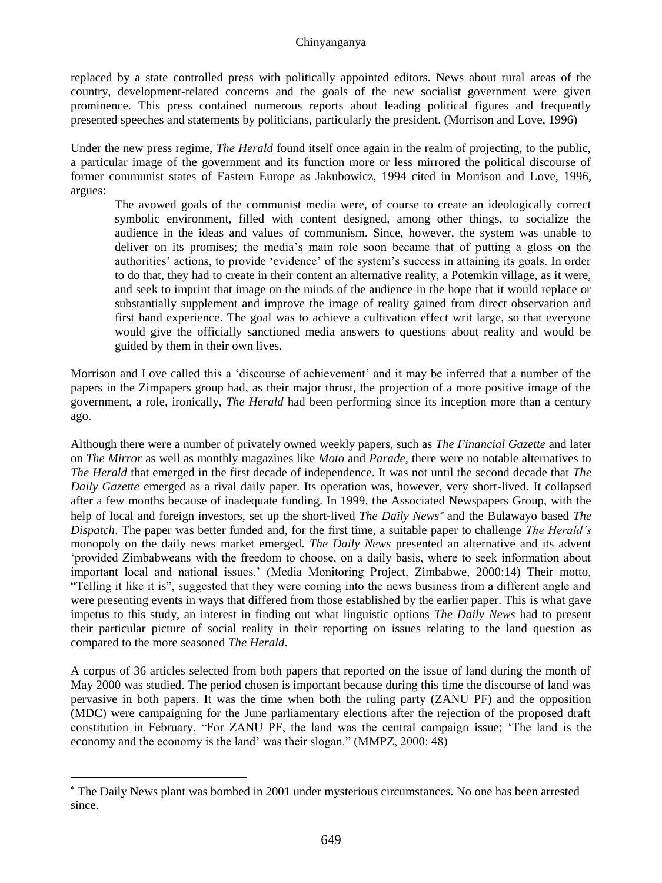#### Chinyanganya

replaced by a state controlled press with politically appointed editors. News about rural areas of the country, development-related concerns and the goals of the new socialist government were given prominence. This press contained numerous reports about leading political figures and frequently presented speeches and statements by politicians, particularly the president. (Morrison and Love, 1996)

Under the new press regime, *The Herald* found itself once again in the realm of projecting, to the public, a particular image of the government and its function more or less mirrored the political discourse of former communist states of Eastern Europe as Jakubowicz, 1994 cited in Morrison and Love, 1996, argues:

The avowed goals of the communist media were, of course to create an ideologically correct symbolic environment, filled with content designed, among other things, to socialize the audience in the ideas and values of communism. Since, however, the system was unable to deliver on its promises; the media's main role soon became that of putting a gloss on the authorities' actions, to provide 'evidence' of the system's success in attaining its goals. In order to do that, they had to create in their content an alternative reality, a Potemkin village, as it were, and seek to imprint that image on the minds of the audience in the hope that it would replace or substantially supplement and improve the image of reality gained from direct observation and first hand experience. The goal was to achieve a cultivation effect writ large, so that everyone would give the officially sanctioned media answers to questions about reality and would be guided by them in their own lives.

Morrison and Love called this a 'discourse of achievement' and it may be inferred that a number of the papers in the Zimpapers group had, as their major thrust, the projection of a more positive image of the government, a role, ironically, *The Herald* had been performing since its inception more than a century ago.

Although there were a number of privately owned weekly papers, such as *The Financial Gazette* and later on *The Mirror* as well as monthly magazines like *Moto* and *Parade,* there were no notable alternatives to *The Herald* that emerged in the first decade of independence. It was not until the second decade that *The Daily Gazette* emerged as a rival daily paper. Its operation was, however, very short-lived. It collapsed after a few months because of inadequate funding. In 1999, the Associated Newspapers Group, with the help of local and foreign investors, set up the short-lived *The Daily News*<sup>\*</sup> and the Bulawayo based *The Dispatch*. The paper was better funded and, for the first time, a suitable paper to challenge *The Herald's* monopoly on the daily news market emerged. *The Daily News* presented an alternative and its advent 'provided Zimbabweans with the freedom to choose, on a daily basis, where to seek information about important local and national issues.' (Media Monitoring Project, Zimbabwe, 2000:14) Their motto, "Telling it like it is", suggested that they were coming into the news business from a different angle and were presenting events in ways that differed from those established by the earlier paper. This is what gave impetus to this study, an interest in finding out what linguistic options *The Daily News* had to present their particular picture of social reality in their reporting on issues relating to the land question as compared to the more seasoned *The Herald*.

A corpus of 36 articles selected from both papers that reported on the issue of land during the month of May 2000 was studied. The period chosen is important because during this time the discourse of land was pervasive in both papers. It was the time when both the ruling party (ZANU PF) and the opposition (MDC) were campaigning for the June parliamentary elections after the rejection of the proposed draft constitution in February. "For ZANU PF, the land was the central campaign issue; 'The land is the economy and the economy is the land' was their slogan." (MMPZ, 2000: 48)

l

The Daily News plant was bombed in 2001 under mysterious circumstances. No one has been arrested since.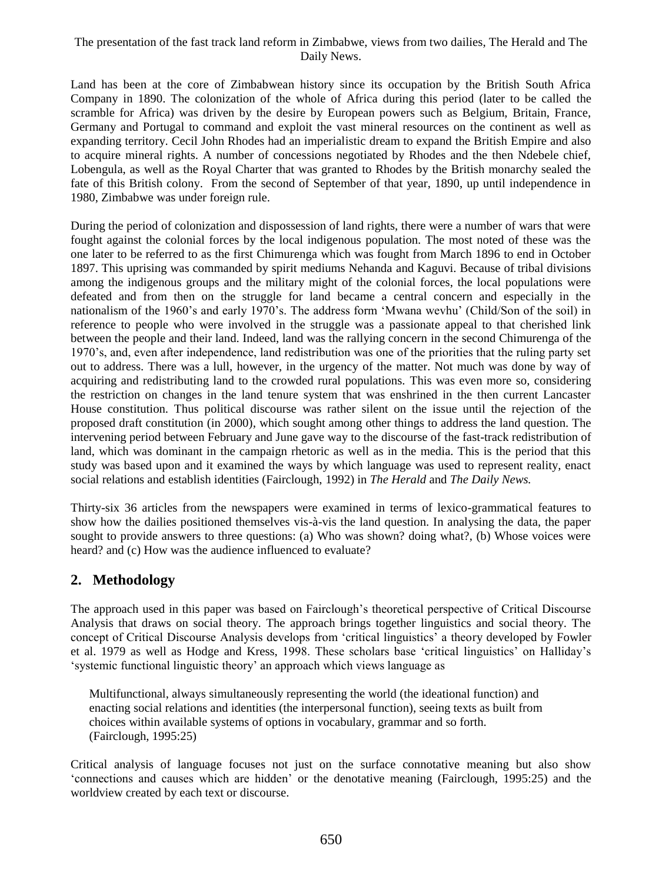Land has been at the core of Zimbabwean history since its occupation by the British South Africa Company in 1890. The colonization of the whole of Africa during this period (later to be called the scramble for Africa) was driven by the desire by European powers such as Belgium, Britain, France, Germany and Portugal to command and exploit the vast mineral resources on the continent as well as expanding territory. Cecil John Rhodes had an imperialistic dream to expand the British Empire and also to acquire mineral rights. A number of concessions negotiated by Rhodes and the then Ndebele chief, Lobengula, as well as the Royal Charter that was granted to Rhodes by the British monarchy sealed the fate of this British colony. From the second of September of that year, 1890, up until independence in 1980, Zimbabwe was under foreign rule.

During the period of colonization and dispossession of land rights, there were a number of wars that were fought against the colonial forces by the local indigenous population. The most noted of these was the one later to be referred to as the first Chimurenga which was fought from March 1896 to end in October 1897. This uprising was commanded by spirit mediums Nehanda and Kaguvi. Because of tribal divisions among the indigenous groups and the military might of the colonial forces, the local populations were defeated and from then on the struggle for land became a central concern and especially in the nationalism of the 1960's and early 1970's. The address form 'Mwana wevhu' (Child/Son of the soil) in reference to people who were involved in the struggle was a passionate appeal to that cherished link between the people and their land. Indeed, land was the rallying concern in the second Chimurenga of the 1970's, and, even after independence, land redistribution was one of the priorities that the ruling party set out to address. There was a lull, however, in the urgency of the matter. Not much was done by way of acquiring and redistributing land to the crowded rural populations. This was even more so, considering the restriction on changes in the land tenure system that was enshrined in the then current Lancaster House constitution. Thus political discourse was rather silent on the issue until the rejection of the proposed draft constitution (in 2000), which sought among other things to address the land question. The intervening period between February and June gave way to the discourse of the fast-track redistribution of land, which was dominant in the campaign rhetoric as well as in the media. This is the period that this study was based upon and it examined the ways by which language was used to represent reality, enact social relations and establish identities (Fairclough, 1992) in *The Herald* and *The Daily News.*

Thirty-six 36 articles from the newspapers were examined in terms of lexico-grammatical features to show how the dailies positioned themselves vis-à-vis the land question. In analysing the data, the paper sought to provide answers to three questions: (a) Who was shown? doing what?, (b) Whose voices were heard? and (c) How was the audience influenced to evaluate?

## **2. Methodology**

The approach used in this paper was based on Fairclough's theoretical perspective of Critical Discourse Analysis that draws on social theory. The approach brings together linguistics and social theory. The concept of Critical Discourse Analysis develops from 'critical linguistics' a theory developed by Fowler et al. 1979 as well as Hodge and Kress, 1998. These scholars base 'critical linguistics' on Halliday's 'systemic functional linguistic theory' an approach which views language as

 Multifunctional, always simultaneously representing the world (the ideational function) and enacting social relations and identities (the interpersonal function), seeing texts as built from choices within available systems of options in vocabulary, grammar and so forth. (Fairclough, 1995:25)

Critical analysis of language focuses not just on the surface connotative meaning but also show 'connections and causes which are hidden' or the denotative meaning (Fairclough, 1995:25) and the worldview created by each text or discourse.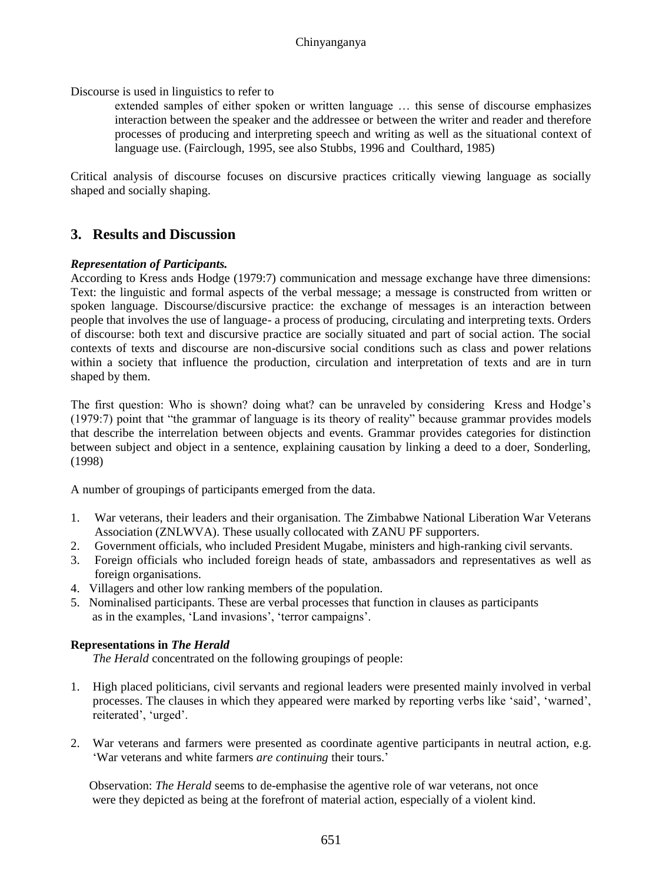Discourse is used in linguistics to refer to

extended samples of either spoken or written language … this sense of discourse emphasizes interaction between the speaker and the addressee or between the writer and reader and therefore processes of producing and interpreting speech and writing as well as the situational context of language use. (Fairclough, 1995, see also Stubbs, 1996 and Coulthard, 1985)

Critical analysis of discourse focuses on discursive practices critically viewing language as socially shaped and socially shaping.

## **3. Results and Discussion**

#### *Representation of Participants.*

According to Kress ands Hodge (1979:7) communication and message exchange have three dimensions: Text: the linguistic and formal aspects of the verbal message; a message is constructed from written or spoken language. Discourse/discursive practice: the exchange of messages is an interaction between people that involves the use of language- a process of producing, circulating and interpreting texts. Orders of discourse: both text and discursive practice are socially situated and part of social action. The social contexts of texts and discourse are non-discursive social conditions such as class and power relations within a society that influence the production, circulation and interpretation of texts and are in turn shaped by them.

The first question: Who is shown? doing what? can be unraveled by considering Kress and Hodge's (1979:7) point that "the grammar of language is its theory of reality" because grammar provides models that describe the interrelation between objects and events. Grammar provides categories for distinction between subject and object in a sentence, explaining causation by linking a deed to a doer, Sonderling, (1998)

A number of groupings of participants emerged from the data.

- 1. War veterans, their leaders and their organisation. The Zimbabwe National Liberation War Veterans Association (ZNLWVA). These usually collocated with ZANU PF supporters.
- 2. Government officials, who included President Mugabe, ministers and high-ranking civil servants.
- 3. Foreign officials who included foreign heads of state, ambassadors and representatives as well as foreign organisations.
- 4. Villagers and other low ranking members of the population.
- 5. Nominalised participants. These are verbal processes that function in clauses as participants as in the examples, 'Land invasions', 'terror campaigns'.

#### **Representations in** *The Herald*

*The Herald* concentrated on the following groupings of people:

- 1. High placed politicians, civil servants and regional leaders were presented mainly involved in verbal processes. The clauses in which they appeared were marked by reporting verbs like 'said', 'warned', reiterated', 'urged'.
- 2. War veterans and farmers were presented as coordinate agentive participants in neutral action, e.g. 'War veterans and white farmers *are continuing* their tours.'

 Observation: *The Herald* seems to de-emphasise the agentive role of war veterans, not once were they depicted as being at the forefront of material action, especially of a violent kind.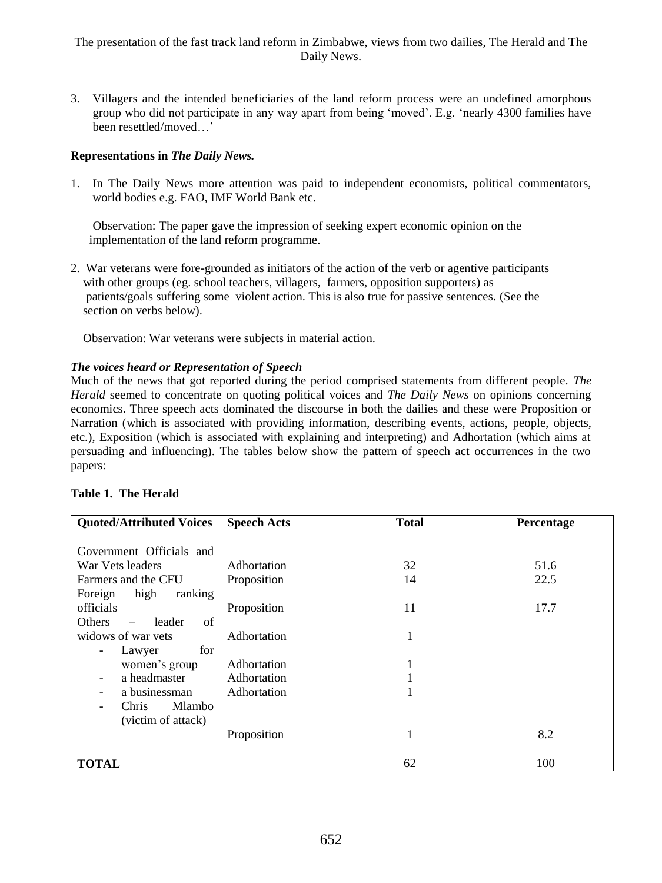3. Villagers and the intended beneficiaries of the land reform process were an undefined amorphous group who did not participate in any way apart from being 'moved'. E.g. 'nearly 4300 families have been resettled/moved…'

### **Representations in** *The Daily News.*

1. In The Daily News more attention was paid to independent economists, political commentators, world bodies e.g. FAO, IMF World Bank etc.

Observation: The paper gave the impression of seeking expert economic opinion on the implementation of the land reform programme.

2. War veterans were fore-grounded as initiators of the action of the verb or agentive participants with other groups (eg. school teachers, villagers, farmers, opposition supporters) as patients/goals suffering some violent action. This is also true for passive sentences. (See the section on verbs below).

Observation: War veterans were subjects in material action.

#### *The voices heard or Representation of Speech*

Much of the news that got reported during the period comprised statements from different people. *The Herald* seemed to concentrate on quoting political voices and *The Daily News* on opinions concerning economics. Three speech acts dominated the discourse in both the dailies and these were Proposition or Narration (which is associated with providing information, describing events, actions, people, objects, etc.), Exposition (which is associated with explaining and interpreting) and Adhortation (which aims at persuading and influencing). The tables below show the pattern of speech act occurrences in the two papers:

|  | Table 1. The Herald |
|--|---------------------|
|--|---------------------|

| <b>Quoted/Attributed Voices</b>                                     | <b>Speech Acts</b>         | <b>Total</b> | Percentage   |
|---------------------------------------------------------------------|----------------------------|--------------|--------------|
| Government Officials and<br>War Vets leaders<br>Farmers and the CFU | Adhortation<br>Proposition | 32<br>14     | 51.6<br>22.5 |
| high<br>ranking<br>Foreign<br>officials<br>Others<br>leader<br>of   | Proposition                | 11           | 17.7         |
| widows of war yets<br>for<br>Lawyer<br>-                            | Adhortation                | 1            |              |
| women's group                                                       | Adhortation                | 1            |              |
| a headmaster                                                        | Adhortation                |              |              |
| a businessman<br><b>Mlambo</b><br>Chris.<br>(victim of attack)      | Adhortation                | 1            |              |
|                                                                     | Proposition                | 1            | 8.2          |
| <b>TOTAL</b>                                                        |                            | 62           | 100          |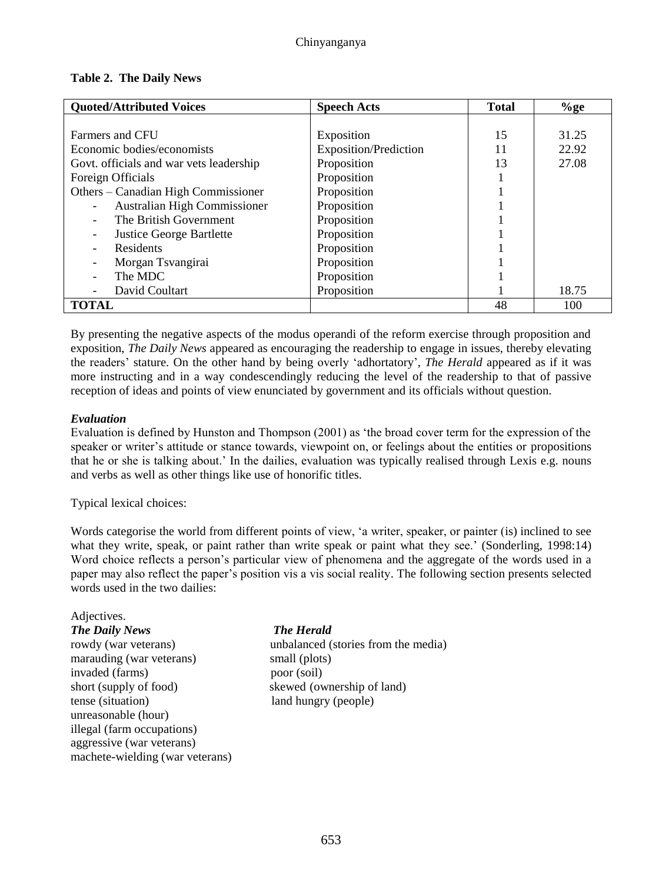| <b>Table 2. The Daily News</b> |  |
|--------------------------------|--|
|--------------------------------|--|

| <b>Quoted/Attributed Voices</b>         | <b>Speech Acts</b>           | <b>Total</b> | $\%$ ge |
|-----------------------------------------|------------------------------|--------------|---------|
|                                         |                              |              |         |
| Farmers and CFU                         | Exposition                   | 15           | 31.25   |
| Economic bodies/economists              | <b>Exposition/Prediction</b> | 11           | 22.92   |
| Govt. officials and war vets leadership | Proposition                  | 13           | 27.08   |
| Foreign Officials                       | Proposition                  |              |         |
| Others – Canadian High Commissioner     | Proposition                  |              |         |
| Australian High Commissioner            | Proposition                  |              |         |
| The British Government                  | Proposition                  |              |         |
| <b>Justice George Bartlette</b>         | Proposition                  |              |         |
| Residents                               | Proposition                  |              |         |
| Morgan Tsvangirai                       | Proposition                  |              |         |
| The MDC                                 | Proposition                  |              |         |
| David Coultart                          | Proposition                  |              | 18.75   |
| <b>TOTAL</b>                            |                              | 48           | 100     |

By presenting the negative aspects of the modus operandi of the reform exercise through proposition and exposition, *The Daily News* appeared as encouraging the readership to engage in issues, thereby elevating the readers' stature. On the other hand by being overly 'adhortatory', *The Herald* appeared as if it was more instructing and in a way condescendingly reducing the level of the readership to that of passive reception of ideas and points of view enunciated by government and its officials without question.

#### *Evaluation*

Evaluation is defined by Hunston and Thompson (2001) as 'the broad cover term for the expression of the speaker or writer's attitude or stance towards, viewpoint on, or feelings about the entities or propositions that he or she is talking about.' In the dailies, evaluation was typically realised through Lexis e.g. nouns and verbs as well as other things like use of honorific titles.

Typical lexical choices:

Words categorise the world from different points of view, 'a writer, speaker, or painter (is) inclined to see what they write, speak, or paint rather than write speak or paint what they see.' (Sonderling, 1998:14) Word choice reflects a person's particular view of phenomena and the aggregate of the words used in a paper may also reflect the paper's position vis a vis social reality. The following section presents selected words used in the two dailies:

#### Adjectives.

*The Daily News The Herald* marauding (war veterans) small (plots) invaded (farms) poor (soil) short (supply of food) skewed (ownership of land) tense (situation) land hungry (people) unreasonable (hour) illegal (farm occupations) aggressive (war veterans) machete-wielding (war veterans)

rowdy (war veterans) unbalanced (stories from the media)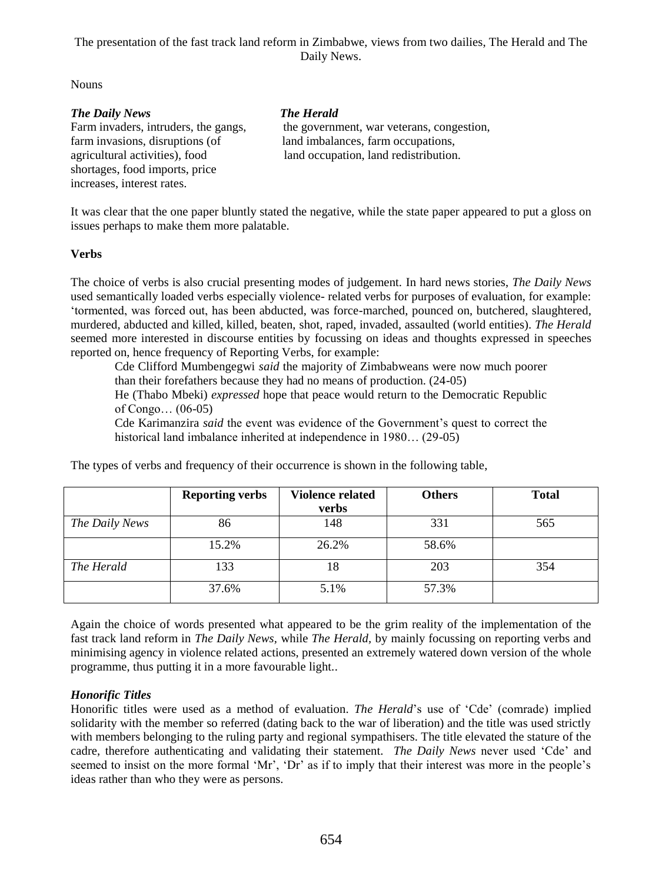Nouns

#### *The Daily News The Herald*

farm invasions, disruptions (of land imbalances, farm occupations, shortages, food imports, price increases, interest rates.

Farm invaders, intruders, the gangs, the government, war veterans, congestion, agricultural activities), food land occupation, land redistribution.

It was clear that the one paper bluntly stated the negative, while the state paper appeared to put a gloss on issues perhaps to make them more palatable.

#### **Verbs**

The choice of verbs is also crucial presenting modes of judgement. In hard news stories, *The Daily News* used semantically loaded verbs especially violence- related verbs for purposes of evaluation, for example: 'tormented, was forced out, has been abducted, was force-marched, pounced on, butchered, slaughtered, murdered, abducted and killed, killed, beaten, shot, raped, invaded, assaulted (world entities). *The Herald*  seemed more interested in discourse entities by focussing on ideas and thoughts expressed in speeches reported on, hence frequency of Reporting Verbs, for example:

Cde Clifford Mumbengegwi *said* the majority of Zimbabweans were now much poorer than their forefathers because they had no means of production. (24-05)

He (Thabo Mbeki) *expressed* hope that peace would return to the Democratic Republic of Congo… (06-05)

Cde Karimanzira *said* the event was evidence of the Government's quest to correct the historical land imbalance inherited at independence in 1980... (29-05)

|                | <b>Reporting verbs</b> | <b>Violence related</b> | <b>Others</b> | <b>Total</b> |
|----------------|------------------------|-------------------------|---------------|--------------|
|                |                        | verbs                   |               |              |
| The Daily News | 86                     | 148                     | 331           | 565          |
|                | 15.2%                  | 26.2%                   | 58.6%         |              |
| The Herald     | 133                    | 18                      | 203           | 354          |
|                | 37.6%                  | 5.1%                    | 57.3%         |              |

The types of verbs and frequency of their occurrence is shown in the following table,

Again the choice of words presented what appeared to be the grim reality of the implementation of the fast track land reform in *The Daily News,* while *The Herald,* by mainly focussing on reporting verbs and minimising agency in violence related actions, presented an extremely watered down version of the whole programme, thus putting it in a more favourable light..

### *Honorific Titles*

Honorific titles were used as a method of evaluation. *The Herald*'s use of 'Cde' (comrade) implied solidarity with the member so referred (dating back to the war of liberation) and the title was used strictly with members belonging to the ruling party and regional sympathisers. The title elevated the stature of the cadre, therefore authenticating and validating their statement. *The Daily News* never used 'Cde' and seemed to insist on the more formal 'Mr', 'Dr' as if to imply that their interest was more in the people's ideas rather than who they were as persons.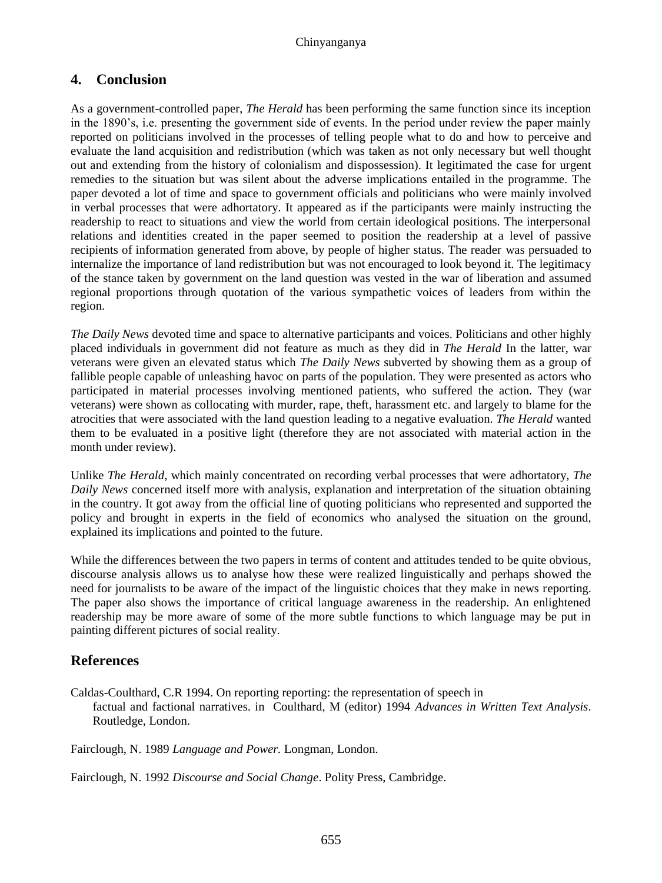## **4. Conclusion**

As a government-controlled paper, *The Herald* has been performing the same function since its inception in the 1890's, i.e. presenting the government side of events. In the period under review the paper mainly reported on politicians involved in the processes of telling people what to do and how to perceive and evaluate the land acquisition and redistribution (which was taken as not only necessary but well thought out and extending from the history of colonialism and dispossession). It legitimated the case for urgent remedies to the situation but was silent about the adverse implications entailed in the programme. The paper devoted a lot of time and space to government officials and politicians who were mainly involved in verbal processes that were adhortatory. It appeared as if the participants were mainly instructing the readership to react to situations and view the world from certain ideological positions. The interpersonal relations and identities created in the paper seemed to position the readership at a level of passive recipients of information generated from above, by people of higher status. The reader was persuaded to internalize the importance of land redistribution but was not encouraged to look beyond it. The legitimacy of the stance taken by government on the land question was vested in the war of liberation and assumed regional proportions through quotation of the various sympathetic voices of leaders from within the region.

*The Daily News* devoted time and space to alternative participants and voices. Politicians and other highly placed individuals in government did not feature as much as they did in *The Herald* In the latter, war veterans were given an elevated status which *The Daily News* subverted by showing them as a group of fallible people capable of unleashing havoc on parts of the population. They were presented as actors who participated in material processes involving mentioned patients, who suffered the action. They (war veterans) were shown as collocating with murder, rape, theft, harassment etc. and largely to blame for the atrocities that were associated with the land question leading to a negative evaluation. *The Herald* wanted them to be evaluated in a positive light (therefore they are not associated with material action in the month under review).

Unlike *The Herald*, which mainly concentrated on recording verbal processes that were adhortatory, *The Daily News* concerned itself more with analysis, explanation and interpretation of the situation obtaining in the country. It got away from the official line of quoting politicians who represented and supported the policy and brought in experts in the field of economics who analysed the situation on the ground, explained its implications and pointed to the future.

While the differences between the two papers in terms of content and attitudes tended to be quite obvious, discourse analysis allows us to analyse how these were realized linguistically and perhaps showed the need for journalists to be aware of the impact of the linguistic choices that they make in news reporting. The paper also shows the importance of critical language awareness in the readership. An enlightened readership may be more aware of some of the more subtle functions to which language may be put in painting different pictures of social reality.

## **References**

Caldas-Coulthard, C.R 1994. On reporting reporting: the representation of speech in factual and factional narratives. in Coulthard, M (editor) 1994 *Advances in Written Text Analysis*. Routledge, London.

Fairclough, N. 1989 *Language and Power.* Longman, London.

Fairclough, N. 1992 *Discourse and Social Change*. Polity Press, Cambridge.